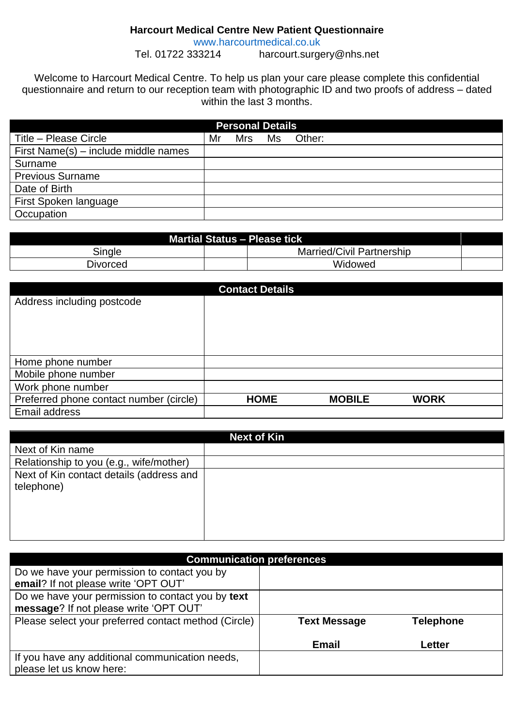## **Harcourt Medical Centre New Patient Questionnaire**

[www.harcourtmedical.co.uk](http://www.harcourtmedical.co.uk/)<br>Tel. 01722 333214 harcourt.surge harcourt.surgery@nhs.net

Welcome to Harcourt Medical Centre. To help us plan your care please complete this confidential questionnaire and return to our reception team with photographic ID and two proofs of address – dated within the last 3 months.

| <b>Personal Details</b>              |    |            |    |        |  |
|--------------------------------------|----|------------|----|--------|--|
| Title - Please Circle                | Mr | <b>Mrs</b> | Ms | Other: |  |
| First Name(s) – include middle names |    |            |    |        |  |
| Surname                              |    |            |    |        |  |
| <b>Previous Surname</b>              |    |            |    |        |  |
| Date of Birth                        |    |            |    |        |  |
| First Spoken language                |    |            |    |        |  |
| Occupation                           |    |            |    |        |  |

| <b>Martial Status - Please tick</b> |  |                                  |  |
|-------------------------------------|--|----------------------------------|--|
| Single                              |  | <b>Married/Civil Partnership</b> |  |
| Divorced                            |  | Widowed                          |  |

|                                         | <b>Contact Details</b> |               |             |  |
|-----------------------------------------|------------------------|---------------|-------------|--|
| Address including postcode              |                        |               |             |  |
|                                         |                        |               |             |  |
|                                         |                        |               |             |  |
|                                         |                        |               |             |  |
| Home phone number                       |                        |               |             |  |
| Mobile phone number                     |                        |               |             |  |
| Work phone number                       |                        |               |             |  |
| Preferred phone contact number (circle) | <b>HOME</b>            | <b>MOBILE</b> | <b>WORK</b> |  |
| Email address                           |                        |               |             |  |

| <b>Next of Kin</b>                       |  |  |
|------------------------------------------|--|--|
| Next of Kin name                         |  |  |
| Relationship to you (e.g., wife/mother)  |  |  |
| Next of Kin contact details (address and |  |  |
| telephone)                               |  |  |
|                                          |  |  |
|                                          |  |  |
|                                          |  |  |
|                                          |  |  |

| <b>Communication preferences</b>                     |                     |                  |  |
|------------------------------------------------------|---------------------|------------------|--|
| Do we have your permission to contact you by         |                     |                  |  |
| email? If not please write 'OPT OUT'                 |                     |                  |  |
| Do we have your permission to contact you by text    |                     |                  |  |
| message? If not please write 'OPT OUT'               |                     |                  |  |
| Please select your preferred contact method (Circle) | <b>Text Message</b> | <b>Telephone</b> |  |
|                                                      |                     |                  |  |
|                                                      | <b>Email</b>        | Letter           |  |
| If you have any additional communication needs,      |                     |                  |  |
| please let us know here:                             |                     |                  |  |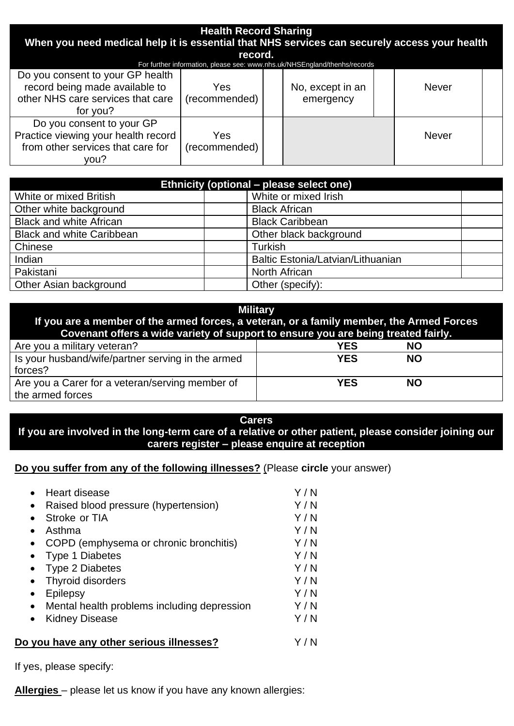| <b>Health Record Sharing</b><br>When you need medical help it is essential that NHS services can securely access your health<br>record.<br>For further information, please see: www.nhs.uk/NHSEngland/thenhs/records |                      |  |                               |  |              |  |
|----------------------------------------------------------------------------------------------------------------------------------------------------------------------------------------------------------------------|----------------------|--|-------------------------------|--|--------------|--|
| Do you consent to your GP health<br>record being made available to<br>other NHS care services that care<br>for you?                                                                                                  | Yes<br>(recommended) |  | No, except in an<br>emergency |  | <b>Never</b> |  |
| Do you consent to your GP<br>Practice viewing your health record<br>from other services that care for<br>vou?                                                                                                        | Yes<br>(recommended) |  |                               |  | <b>Never</b> |  |

| Ethnicity (optional – please select one) |                                   |  |  |
|------------------------------------------|-----------------------------------|--|--|
| White or mixed British                   | White or mixed Irish              |  |  |
| Other white background                   | <b>Black African</b>              |  |  |
| <b>Black and white African</b>           | <b>Black Caribbean</b>            |  |  |
| <b>Black and white Caribbean</b>         | Other black background            |  |  |
| Chinese                                  | Turkish                           |  |  |
| Indian                                   | Baltic Estonia/Latvian/Lithuanian |  |  |
| Pakistani                                | <b>North African</b>              |  |  |
| Other Asian background                   | Other (specify):                  |  |  |

| <b>Military</b><br>If you are a member of the armed forces, a veteran, or a family member, the Armed Forces<br>Covenant offers a wide variety of support to ensure you are being treated fairly. |            |           |  |
|--------------------------------------------------------------------------------------------------------------------------------------------------------------------------------------------------|------------|-----------|--|
| Are you a military veteran?                                                                                                                                                                      | <b>YES</b> | <b>NO</b> |  |
| Is your husband/wife/partner serving in the armed                                                                                                                                                | <b>YES</b> | <b>NO</b> |  |
| forces?                                                                                                                                                                                          |            |           |  |
| Are you a Carer for a veteran/serving member of                                                                                                                                                  | <b>YES</b> | NΟ        |  |
| the armed forces                                                                                                                                                                                 |            |           |  |

## **Carers If you are involved in the long-term care of a relative or other patient, please consider joining our carers register – please enquire at reception**

## **Do you suffer from any of the following illnesses?** (Please **circle** your answer)

| Heart disease                               | Y/N |
|---------------------------------------------|-----|
| Raised blood pressure (hypertension)        | Y/N |
| Stroke or TIA                               | Y/N |
| Asthma                                      | Y/N |
| COPD (emphysema or chronic bronchitis)      | Y/N |
| <b>Type 1 Diabetes</b>                      | Y/N |
| <b>Type 2 Diabetes</b>                      | Y/N |
| <b>Thyroid disorders</b>                    | Y/N |
| Epilepsy                                    | Y/N |
| Mental health problems including depression | Y/N |
| <b>Kidney Disease</b>                       | Y/N |
| Do you have any other serious illnesses?    |     |

If yes, please specify:

**Allergies** – please let us know if you have any known allergies: